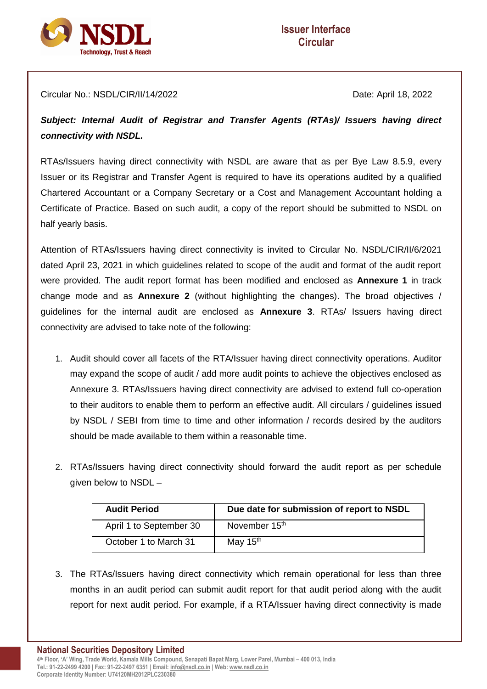

Circular No.: NSDL/CIR/II/14/2022 Date: April 18, 2022

*Subject: Internal Audit of Registrar and Transfer Agents (RTAs)/ Issuers having direct connectivity with NSDL.*

RTAs/Issuers having direct connectivity with NSDL are aware that as per Bye Law 8.5.9, every Issuer or its Registrar and Transfer Agent is required to have its operations audited by a qualified Chartered Accountant or a Company Secretary or a Cost and Management Accountant holding a Certificate of Practice. Based on such audit, a copy of the report should be submitted to NSDL on half yearly basis.

Attention of RTAs/Issuers having direct connectivity is invited to Circular No. NSDL/CIR/II/6/2021 dated April 23, 2021 in which guidelines related to scope of the audit and format of the audit report were provided. The audit report format has been modified and enclosed as **Annexure 1** in track change mode and as **Annexure 2** (without highlighting the changes). The broad objectives / guidelines for the internal audit are enclosed as **Annexure 3**. RTAs/ Issuers having direct connectivity are advised to take note of the following:

- 1. Audit should cover all facets of the RTA/Issuer having direct connectivity operations. Auditor may expand the scope of audit / add more audit points to achieve the objectives enclosed as Annexure 3. RTAs/Issuers having direct connectivity are advised to extend full co-operation to their auditors to enable them to perform an effective audit. All circulars / guidelines issued by NSDL / SEBI from time to time and other information / records desired by the auditors should be made available to them within a reasonable time.
- 2. RTAs/Issuers having direct connectivity should forward the audit report as per schedule given below to NSDL –

| <b>Audit Period</b>     | Due date for submission of report to NSDL |
|-------------------------|-------------------------------------------|
| April 1 to September 30 | November 15 <sup>th</sup>                 |
| October 1 to March 31   | May 15 <sup>th</sup>                      |

3. The RTAs/Issuers having direct connectivity which remain operational for less than three months in an audit period can submit audit report for that audit period along with the audit report for next audit period. For example, if a RTA/Issuer having direct connectivity is made

**National Securities Depository Limited 4 th Floor, 'A' Wing, Trade World, Kamala Mills Compound, Senapati Bapat Marg, Lower Parel, Mumbai – 400 013, India Tel.: 91-22-2499 4200 | Fax: 91-22-2497 6351 | Email[: info@nsdl.co.in](mailto:info@nsdl.co.in) | Web[: www.nsdl.co.in](http://www.nsdl.co.in/)**